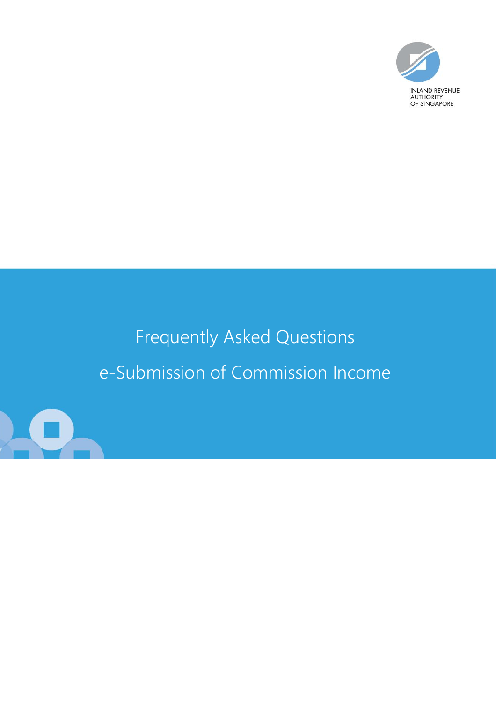

# Frequently Asked Questions e-Submission of Commission Income

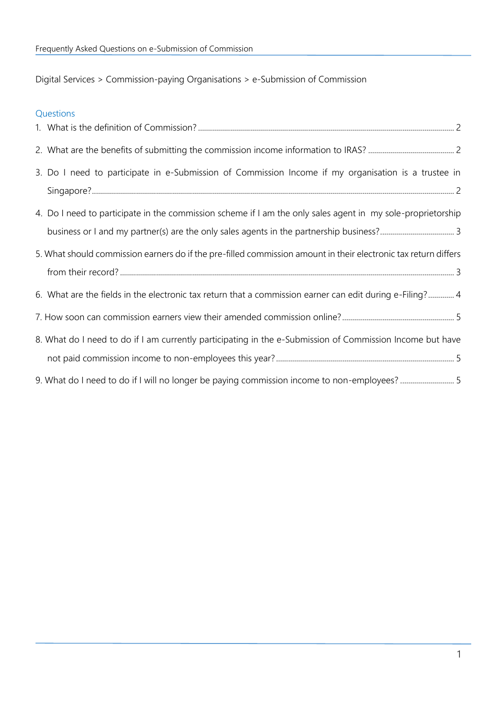<span id="page-1-0"></span>Digital Services > Commission-paying Organisations > e-Submission of Commission

| Questions                                                                                                       |
|-----------------------------------------------------------------------------------------------------------------|
|                                                                                                                 |
|                                                                                                                 |
| 3. Do I need to participate in e-Submission of Commission Income if my organisation is a trustee in             |
| 4. Do I need to participate in the commission scheme if I am the only sales agent in my sole-proprietorship     |
| 5. What should commission earners do if the pre-filled commission amount in their electronic tax return differs |
| 6. What are the fields in the electronic tax return that a commission earner can edit during e-Filing? 4        |
|                                                                                                                 |
| 8. What do I need to do if I am currently participating in the e-Submission of Commission Income but have       |
| 9. What do I need to do if I will no longer be paying commission income to non-employees? 5                     |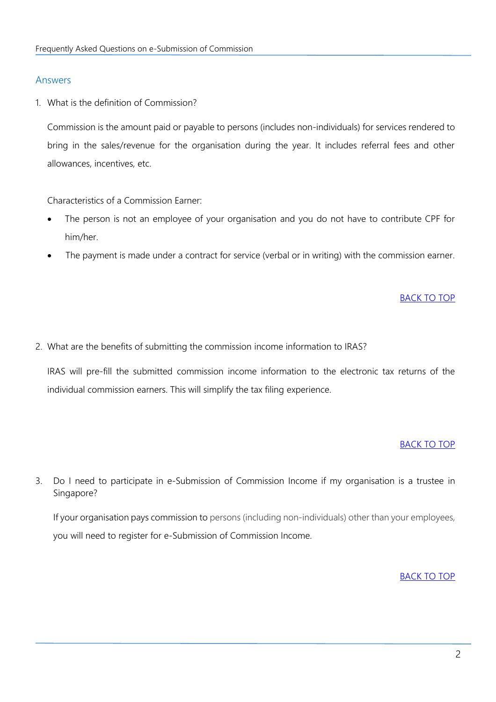# Answers

<span id="page-2-0"></span>1. What is the definition of Commission?

Commission is the amount paid or payable to persons (includes non-individuals) for services rendered to bring in the sales/revenue for the organisation during the year. It includes referral fees and other allowances, incentives, etc.

Characteristics of a Commission Earner:

- The person is not an employee of your organisation and you do not have to contribute CPF for him/her.
- The payment is made under a contract for service (verbal or in writing) with the commission earner.

#### [BACK TO TOP](#page-1-0)

<span id="page-2-1"></span>2. What are the benefits of submitting the commission income information to IRAS?

IRAS will pre-fill the submitted commission income information to the electronic tax returns of the individual commission earners. This will simplify the tax filing experience.

#### [BACK TO TOP](#page-1-0)

<span id="page-2-2"></span>3. Do I need to participate in e-Submission of Commission Income if my organisation is a trustee in Singapore?

If your organisation pays commission to persons (including non-individuals) other than your employees, you will need to register for e-Submission of Commission Income.

#### [BACK TO TOP](#page-1-0)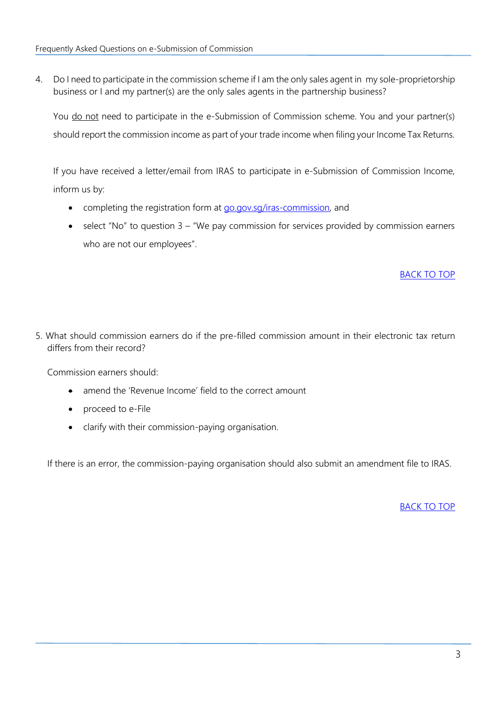<span id="page-3-0"></span>4. Do I need to participate in the commission scheme if I am the only sales agent in my sole-proprietorship business or I and my partner(s) are the only sales agents in the partnership business?

You do not need to participate in the e-Submission of Commission scheme. You and your partner(s) should report the commission income as part of your trade income when filing your Income Tax Returns.

If you have received a letter/email from IRAS to participate in e-Submission of Commission Income, inform us by:

- completing the registration form at [go.gov.sg/iras-commission,](https://go.gov.sg/iras-commission) and
- select "No" to question 3 "We pay commission for services provided by commission earners who are not our employees".

# [BACK TO TOP](#page-1-0)

<span id="page-3-1"></span>5. What should commission earners do if the pre-filled commission amount in their electronic tax return differs from their record?

Commission earners should:

- amend the 'Revenue Income' field to the correct amount
- proceed to e-File
- clarify with their commission-paying organisation.

If there is an error, the commission-paying organisation should also submit an amendment file to IRAS.

[BACK TO TOP](#page-1-0)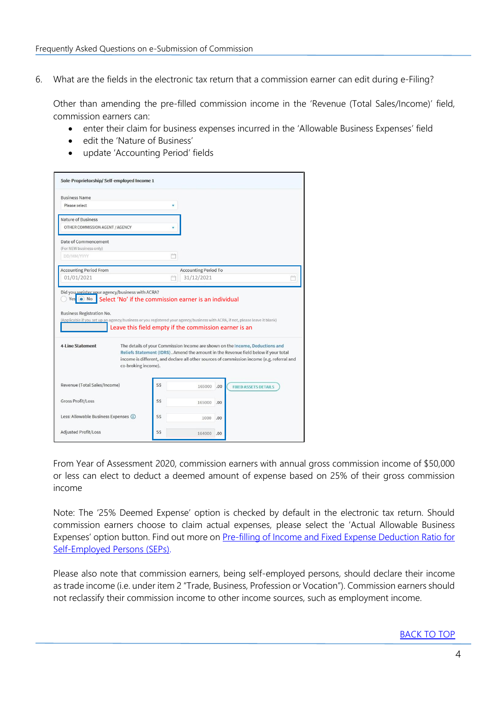<span id="page-4-0"></span>6. What are the fields in the electronic tax return that a commission earner can edit during e-Filing?

Other than amending the pre-filled commission income in the 'Revenue (Total Sales/Income)' field, commission earners can:

- enter their claim for business expenses incurred in the 'Allowable Business Expenses' field
- edit the 'Nature of Business'
- update 'Accounting Period' fields

|                                                       | Sole-Proprietorship/ Self-employed Income 1 |                                                                                                                                                                                                                                                                                                                                                                                                                                                              |  |
|-------------------------------------------------------|---------------------------------------------|--------------------------------------------------------------------------------------------------------------------------------------------------------------------------------------------------------------------------------------------------------------------------------------------------------------------------------------------------------------------------------------------------------------------------------------------------------------|--|
| <b>Business Name</b>                                  |                                             |                                                                                                                                                                                                                                                                                                                                                                                                                                                              |  |
| Please select                                         |                                             |                                                                                                                                                                                                                                                                                                                                                                                                                                                              |  |
| Nature of Business<br>OTHER COMMISSION AGENT / AGENCY |                                             |                                                                                                                                                                                                                                                                                                                                                                                                                                                              |  |
| Date of Commencement<br>(For NEW business only)       |                                             |                                                                                                                                                                                                                                                                                                                                                                                                                                                              |  |
| DD/MM/YYYY                                            |                                             |                                                                                                                                                                                                                                                                                                                                                                                                                                                              |  |
| <b>Accounting Period From</b>                         |                                             | <b>Accounting Period To</b>                                                                                                                                                                                                                                                                                                                                                                                                                                  |  |
| 01/01/2021                                            |                                             | 31/12/2021                                                                                                                                                                                                                                                                                                                                                                                                                                                   |  |
| <b>Business Registration No.</b>                      |                                             |                                                                                                                                                                                                                                                                                                                                                                                                                                                              |  |
| 4-Line Statement<br>co-broking income).               |                                             | (Applicable if you set up an agency/business or you registered your agency/business with ACRA, if not, please leave it blank)<br>Leave this field empty if the commission earner is an<br>The details of your Commission Income are shown on the Income, Deductions and<br>Reliefs Statement (IDRS). Amend the amount in the Revenue field below if your total<br>income is different, and declare all other sources of commission income (e.g. referral and |  |
| Revenue (Total Sales/Income)                          | S\$                                         | 165000<br>.00<br><b>FIXED ASSETS DETAILS</b>                                                                                                                                                                                                                                                                                                                                                                                                                 |  |
| <b>Gross Profit/Loss</b>                              | S\$                                         | 165000<br>.00                                                                                                                                                                                                                                                                                                                                                                                                                                                |  |
| Less: Allowable Business Expenses (i)                 | S\$                                         | 1000<br>.00                                                                                                                                                                                                                                                                                                                                                                                                                                                  |  |

From Year of Assessment 2020, commission earners with annual gross commission income of \$50,000 or less can elect to deduct a deemed amount of expense based on 25% of their gross commission income

Note: The '25% Deemed Expense' option is checked by default in the electronic tax return. Should commission earners choose to claim actual expenses, please select the 'Actual Allowable Business Expenses' option button. Find out more o[n Pre-filling of Income and Fixed Expense Deduction Ratio for](https://www.iras.gov.sg/taxes/individual-income-tax/self-employed/understanding-self-employed-income-filing/filing-for-self-employed-income/pre-filling-of-income-and-fixed-expense-deduction-ratio-for-self-employed-persons-(seps))  [Self-Employed Persons \(SEPs\).](https://www.iras.gov.sg/taxes/individual-income-tax/self-employed/understanding-self-employed-income-filing/filing-for-self-employed-income/pre-filling-of-income-and-fixed-expense-deduction-ratio-for-self-employed-persons-(seps))

Please also note that commission earners, being self-employed persons, should declare their income as trade income (i.e. under item 2 "Trade, Business, Profession or Vocation"). Commission earners should not reclassify their commission income to other income sources, such as employment income.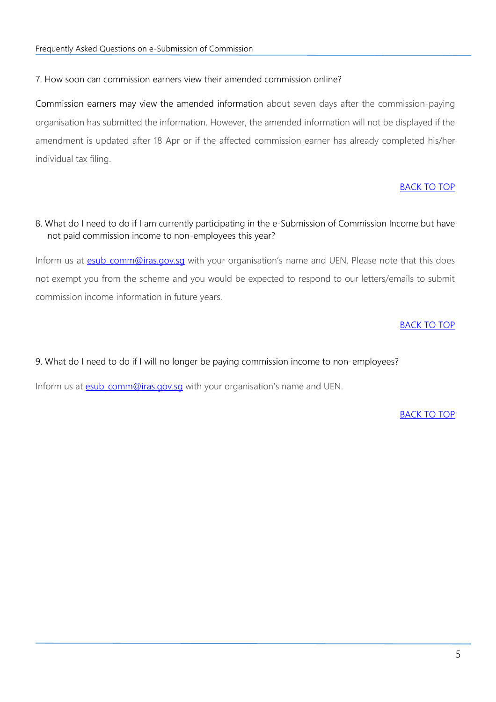<span id="page-5-0"></span>7. How soon can commission earners view their amended commission online?

Commission earners may view the amended information about seven days after the commission-paying organisation has submitted the information. However, the amended information will not be displayed if the amendment is updated after 18 Apr or if the affected commission earner has already completed his/her individual tax filing.

# [BACK TO TOP](#page-1-0)

# <span id="page-5-1"></span>8. What do I need to do if I am currently participating in the e-Submission of Commission Income but have not paid commission income to non-employees this year?

Inform us at **esub comm@iras.gov.sg** with your organisation's name and UEN. Please note that this does not exempt you from the scheme and you would be expected to respond to our letters/emails to submit commission income information in future years.

# [BACK TO TOP](#page-1-0)

<span id="page-5-2"></span>9. What do I need to do if I will no longer be paying commission income to non-employees?

Inform us at esub comm@iras.gov.sg with your organisation's name and UEN.

[BACK TO TOP](#page-1-0)